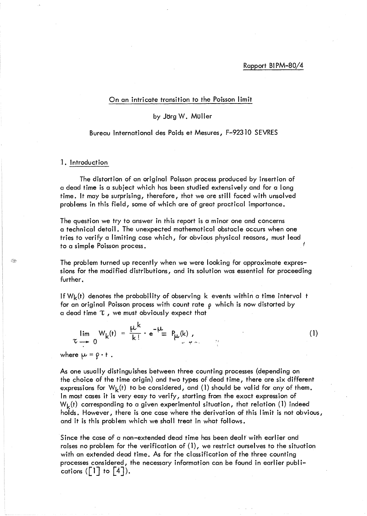#### On an intricate transition to the Poisson limit

## by Jörg W. Müller

### Bureau International des Poids et Mesures, F-9231O SEVRES

### ]. Introduction

 $\leq$ 

The distortion of an original Poisson process produced by insertion of a dead time is a subject which has been studied extensively and for a long time. It may be surprising, therefore, that we are still faced with unsolved problems in this field, some of which are of great practical importance.

The question we try to answer in this report is a minor one and concerns a technical detail. The unexpected mathematical obstacle occurs when one tries to verify a limiting case which, for obvious physical reasons, must lead to a simple Poisson process.

The problem turned up recently when we were looking for approximate expressions for the modified distributions, and its solution was essential for proceeding further.

If  $W_k(t)$  denotes the probability of observing k events within a time interval t for an original Poisson process with count rate  $\rho$  which is now distorted by a dead time  $\tau$ , we must obviously expect that



(1)

where  $\mu = \rho \cdot t$ .

As one usually distinguishes between three counting processes (depending on the choice of the time origin) and two types of dead time, there are six different expressions for  $W_k(t)$  to be considered, and (1) should be valid for any of them. In most cases it is very easy to verify, starting from the exact expression of  $W_k(t)$  corresponding to a given experimental situation, that relation (1) indeed holds. However, there is one case where the derivation of this limit is not obvious, and it is this problem which we shall treat in what follows.

Since the case of a non-extended dead time has been dealt' with earl ier and raises no problem for the verification of (1), we restrict ourselves to the situation with an extended dead time. As for the classification of the three counting processes considered, the necessary information can be found in earlier publications ( $|1|$  to  $|4|$ ).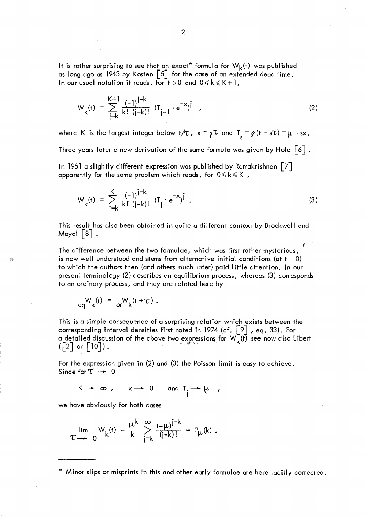It is rather surprising to see that an exact\* formula for  $W_k(t)$  was published as long ago as 1943 by Kosten  $\lceil 5 \rceil$  for the case of an extended dead time. In our usual notation it reads, for  $t > 0$  and  $0 \le k \le K + 1$ ,

$$
W_{k}(t) = \sum_{j=k}^{K+1} \frac{(-1)^{j-k}}{k! (j-k)!} (T_{j-1} \cdot e^{-x})^{j}, \qquad (2)
$$

where K is the largest integer below  $t/\tau$ ,  $x = \rho^{\tau}$  and  $T_s = \rho (t - s\tau) = \mu - sx$ . Three years later a new derivation of the same formula was given by Hole  $\lceil 6 \rceil$  .

In 1951 a slightly different expression was published by Ramakrishnan  $|7|$ apparently for the same problem which reads, for  $0 \le k \le K$ ,

$$
W_{k}(t) = \sum_{j=k}^{K} \frac{(-1)^{j-k}}{k! (j-k)!} (T_{j} \cdot e^{-x})^{j} .
$$
 (3)

This result has also been obtained in quite a different context by Brockwell and Moyal  $|8|$ .

*t*  The difference between the two formulae, which was first rather mysterious, is now well understood and stems from alternative initial conditions (at  $t = 0$ ) to which the authors then (and others much later) paid little attention. In our present terminology (2) describes an equilibrium process, whereas (3) corresponds to an ordinary process, and they are related here by

$$
eq^{W}{}_{k}(t) = q^{W}{}_{k}(t+\tau).
$$

Q.

This is a simple consequence of a surprising relation which exists between the corresponding interval densities first noted in 1974 (cf.  $\left[\begin{smallmatrix} 9 \end{smallmatrix}\right]$  , eq. 33). For a detailed discussion of the above two expressions for  $\mathsf{W}_{\mathsf{k}}(\mathsf{f})$  see now also Libert (  $\lceil 2 \rceil$  or  $\lceil 10 \rceil$  ) .

For the expression given in (2) and (3) the Poisson limit is easy to achieve. Since for  $\tau \rightarrow 0$ 

$$
K \rightarrow \infty , \quad x \rightarrow 0 \quad \text{and } T_{\underset{1}{\phantom{.}}\phantom{.}}\rightarrow \mu ,
$$

we have obviously for both cases

$$
\lim_{\tau \to 0} W_{k}(t) = \frac{\mu^{k}}{k!} \sum_{j=k}^{\infty} \frac{(-\mu)^{j-k}}{(j-k)!} = P_{k}(k).
$$

\* Minor slips or misprints in this and other early formulae are here tacitly corrected.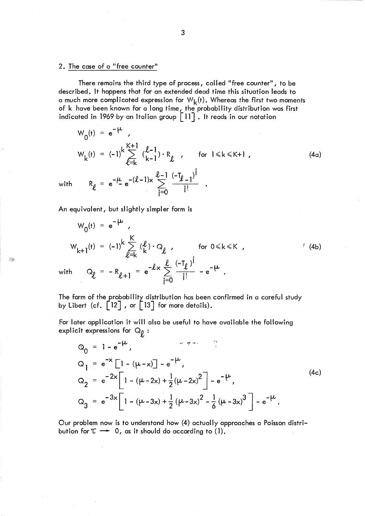## 2. The case of a "free counter"

There remains the third type of process, called "free counter", to be described, It happens that for an extended dead time this situation leads to a much more complicated expression for  $W_k(t)$ . Whereas the first two moments of k have been known for a long time, the probability distribution was first indicated in 1969 by an Italian group  $\lceil 11 \rceil$  . It reads in our notation

$$
W_{0}(t) = e^{-\mu},
$$
\n
$$
W_{k}(t) = (-1)^{k} \sum_{\ell=k}^{K+1} {(\ell-1) \choose k-1} \cdot R_{\ell}, \quad \text{for } 1 \le k \le K+1, \tag{4a}
$$
\n
$$
W_{k}(t) = e^{-\mu} e^{-(\ell-1)x} \sum_{i=0}^{\ell-1} \frac{(-T_{\ell-1})^{i}}{i!}.
$$

An equivalent, but slightly simpler form is

**OR** 

$$
W_{0}(t) = e^{-\mu},
$$
\n
$$
W_{k+1}(t) = (-1)^{k} \sum_{\ell=k}^{K} (\ell) \cdot Q_{\ell}, \quad \text{for } 0 \le k \le K, \qquad (4b)
$$
\n
$$
\text{with } Q_{\ell} = -R_{\ell+1} = e^{-\ell x} \sum_{j=0}^{\ell} \frac{(-T_{\ell})^{j}}{j!} - e^{-\mu}.
$$

The form of the probability distribution has been confirmed in a careful study by Libert (cf.  $\begin{bmatrix} 12 \end{bmatrix}$ , or  $\begin{bmatrix} 13 \end{bmatrix}$  for more details).

For later application it will also be useful to have available the following explicit expressions for  $Q_{\rho}$ :

$$
Q_0 = 1 - e^{-\mu},
$$
  
\n
$$
Q_1 = e^{-x} \left[ 1 - (\mu - x) \right] - e^{-\mu},
$$
  
\n
$$
Q_2 = e^{-2x} \left[ 1 - (\mu - 2x) + \frac{1}{2} (\mu - 2x)^2 \right] - e^{-\mu},
$$
  
\n
$$
Q_3 = e^{-3x} \left[ 1 - (\mu - 3x) + \frac{1}{2} (\mu - 3x)^2 - \frac{1}{6} (\mu - 3x)^3 \right] - e^{-\mu}.
$$
\n(4c)

Our problem now is to understand how (4) actually approaches a Poisson distribution for  $\tau \rightarrow 0$ , as it should do according to (1).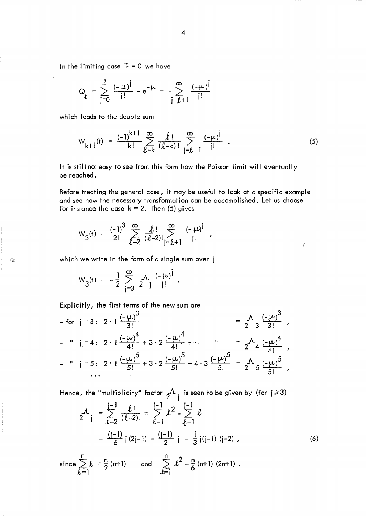In the limiting case  $\tau = 0$  we have

$$
Q_{\ell} = \sum_{j=0}^{\ell} \frac{(-\mu)^{j}}{j!} - e^{-\mu} = -\sum_{j=\ell+1}^{\infty} \frac{(-\mu)^{j}}{j!}
$$

which leads to the double sum

$$
W_{k+1}(t) = \frac{(-1)^{k+1}}{k!} \sum_{\ell=k}^{\infty} \frac{\ell!}{(\ell-k)!} \sum_{j=\ell+1}^{\infty} \frac{(-\mu)^{j}}{j!} . \qquad (5)
$$

It is still not easy to see from this form how the Poisson limit will eventually be reached.

Before treating the general case, it may be useful to look at a specific example and see how the necessary transformation can be accomplished. Let us choose for instance the case  $k = 2$ . Then (5) gives

$$
W_3(r) = \frac{(-1)^3}{2!} \sum_{\ell=2}^{\infty} \frac{\ell!}{(\ell-2)!} \sum_{j=\ell+1}^{\infty} \frac{(-\mu)^j}{j!},
$$

which we write in the form of a single sum over j

$$
W_3(t) = -\frac{1}{2} \sum_{i=3}^{\infty} \frac{A}{2} \frac{(-\mu)^i}{i!}.
$$

Q.

Expl icitly, the first terms of the new sum are

- for 
$$
j = 3: 2 \cdot 1 \frac{(-\mu)^3}{3!}
$$
  
\n- "  $j = 4: 2 \cdot 1 \frac{(-\mu)^4}{4!} + 3 \cdot 2 \frac{(-\mu)^4}{4!} + \cdots$   
\n- "  $j = 5: 2 \cdot 1 \frac{(-\mu)^5}{5!} + 3 \cdot 2 \frac{(-\mu)^5}{5!} + 4 \cdot 3 \frac{(-\mu)^5}{5!} = 2 \Lambda_4 \frac{(-\mu)^4}{4!}$ ,  
\n...

Hence, the "multiplicity" factor  $\gamma^{\Lambda}$ ; is seen to be given by (for  $j \ge 3$ )

$$
2^{\mathcal{A}} i = \sum_{\ell=2}^{i-1} \frac{\ell!}{(\ell-2)!} = \sum_{\ell=1}^{i-1} \frac{\ell^2}{\ell^2} - \sum_{\ell=1}^{i-1} \ell
$$
  
=  $\frac{(i-1)}{6} i (2i-1) - \frac{(i-1)}{2} i = \frac{1}{3} i (i-1) (i-2)$  (6)

since  $\sum_{n=0}^{\infty} \ell = \frac{n}{2}$  (n+1) *1.=1*  and  $\sum_{n=1}^{n} \ell^2 = \frac{n}{6}$  (n+1) (2n+1).  $\ell$ =1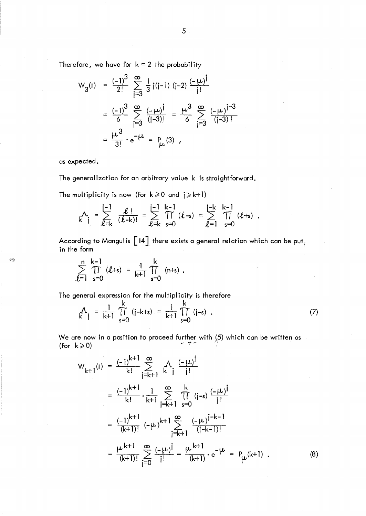Therefore, we have for  $k = 2$  the probability

$$
W_{3}(t) = \frac{(-1)^{3}}{2!} \sum_{j=3}^{\infty} \frac{1}{3} j(j-1) (j-2) \frac{(-\mu)^{j}}{j!}
$$
  
=  $\frac{(-1)^{3}}{6} \sum_{j=3}^{\infty} \frac{(-\mu)^{j}}{(j-3)!} = \frac{\mu^{3}}{6} \sum_{j=3}^{\infty} \frac{(-\mu)^{j-3}}{(j-3)!}$   
=  $\frac{\mu^{3}}{3!} \cdot e^{-\mu} = P_{\mu}(3)$ ,

as expected,

Q,

The generalization for an arbitrary value k is straightforward.

The multiplicity is now (for  $k \ge 0$  and  $j \ge k+1$ )

$$
\mathcal{N}_{i} = \sum_{\ell=k}^{i-1} \frac{\ell!}{(\ell-k)!} = \sum_{\ell=k}^{i-1} \prod_{s=0}^{k-1} (\ell-s) = \sum_{\ell=1}^{i-k} \prod_{s=0}^{k-1} (\ell+s) .
$$

According to Mangulis  $\left[14\right]$  there exists a general relation which can be put<sub>f</sub> in the form

$$
\sum_{\ell=1}^{n} \prod_{s=0}^{k-1} (\ell+s) = \frac{1}{k+1} \prod_{s=0}^{k} (n+s).
$$

The general expression for the multiplicity is therefore

The general expression for the multiplicity is therefore  
\n
$$
\frac{A}{k} = \frac{1}{k+1} \prod_{s=0}^{k} (i-k+s) = \frac{1}{k+1} \prod_{s=0}^{k} (i-s)
$$
\nWe are now in a position to proceed further with (5) which can be written as  
\n(for  $k \ge 0$ )

We are now in a position to proceed further with (5) which can be written as

$$
W_{k+1}(t) = \frac{(-1)^{k+1}}{k!} \sum_{j=k+1}^{\infty} \frac{A}{k} \frac{(-\mu)^j}{j!}
$$
  
\n
$$
= \frac{(-1)^{k+1}}{k!} \cdot \frac{1}{k+1} \sum_{j=k+1}^{\infty} \prod_{s=0}^{k} (j-s) \frac{(-\mu)^j}{j!}
$$
  
\n
$$
= \frac{(-1)^{k+1}}{(k+1)!} (-\mu)^{k+1} \sum_{j=k+1}^{\infty} \frac{(-\mu)^{j-k-1}}{(j-k-1)!}
$$
  
\n
$$
= \frac{\mu^{k+1}}{(k+1)!} \sum_{j=0}^{\infty} \frac{(-\mu)^j}{j!} = \frac{\mu^{k+1}}{(k+1)} \cdot e^{-\mu} = P_{\mu}(k+1) .
$$
 (8)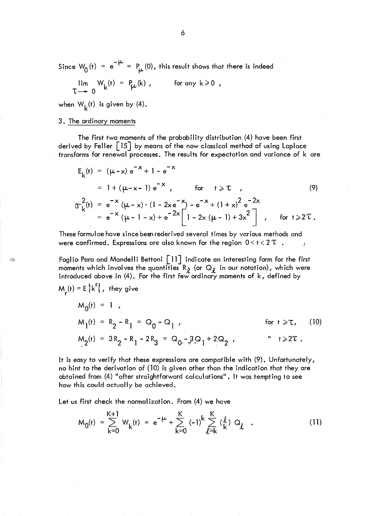Since  $W_0(t) = e^{-\mu} = P_{\mu}(0)$ , this result shows that there is indeed

$$
\lim_{\tau \to 0} W_{k}(t) = P_{k}(k), \qquad \text{for any } k \geq 0,
$$

when  $W_k(t)$  is given by (4).

# 3. The ordinary moments

Q,

The first two moments of the probability distribution (4) have been first derived by Feller  $\begin{bmatrix} 15 \end{bmatrix}$  by means of the now classical method of using Laplace transforms for renewal processes. The results for expectation and variance of k are

$$
E_{k}(t) = (\mu - x) e^{-x} + 1 - e^{-x}
$$
  
\n
$$
= 1 + (\mu - x - 1) e^{-x}, \quad \text{for } t \ge \tau
$$
  
\n
$$
\sigma_{k}^{2}(t) = e^{-x} (\mu - x) \cdot (1 - 2x e^{-x}) - e^{-x} + (1 + x)^{2} e^{-2x}
$$
  
\n
$$
= e^{-x} (\mu - 1 - x) + e^{-2x} \left[ 1 - 2x (\mu - 1) + 3x^{2} \right], \quad \text{for } t \ge 2\tau.
$$

These formulae have since beeuederived several times by various methods and were confirmed. Expressions are also known for the region  $0 < t < 2 \tau$ .

Foglio Para and Mandelli Bettoni [11] indicate an interesting form for the first moments which involves the quantities R<sub>p</sub> (or Q<sub>p</sub> in our notation), which were introduced above in (4). For the first few ordinary moments of  $k$ , defined by  $M_r(t) = E\{k^r\}$ , they give  $M_-(t) = 1$ 

$$
M_1(t) = R_2 - R_1 = Q_0 - Q_1,
$$
  
\n
$$
M_2(t) = 3R_2 - R_1 - 2R_3 = Q_0 - 3Q_1 + 2Q_2,
$$
  
\nfor  $t \ge T$ , (10)  
\n
$$
M_2(t) = 3R_2 - R_1 - 2R_3 = Q_0 - 3Q_1 + 2Q_2.
$$

It is easy to verify that these expressions are compatible with (9). Unfortunately, no hint to the derivation of (10) is given other than the indication that they are obtained from (4) "after straightforward calculations". It was tempting to see how this could actually be achieved.

Let us first check the normalization. From (4) we have

$$
M_{0}(t) = \sum_{k=0}^{K+1} W_{k}(t) = e^{-\mu} + \sum_{k=0}^{K} (-1)^{k} \sum_{\ell=k}^{K} {(\ell) \, Q_{\ell} \quad . \tag{11}
$$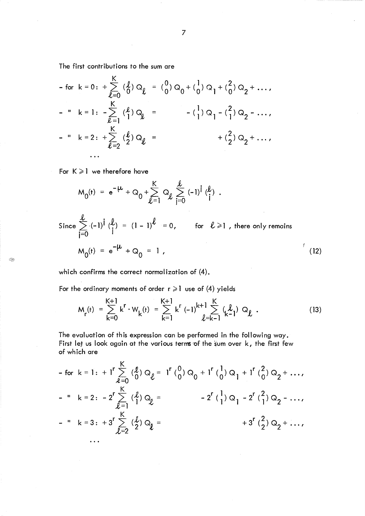The first contributions to the sum are

The first contributions to the sum are  
\n- for 
$$
k = 0
$$
:  $+\sum_{\ell=0}^{K} (\ell) Q_{\ell} = (\begin{matrix} 0 \\ 0 \end{matrix}) Q_{0} + (\begin{matrix} 1 \\ 0 \end{matrix}) Q_{1} + (\begin{matrix} 2 \\ 0 \end{matrix}) Q_{2} + \dots$ ,  
\n- "  $k = 1$ :  $-\sum_{\ell=1}^{K} (\ell) Q_{\ell} = -(\begin{matrix} 1 \\ 1 \end{matrix}) Q_{1} - (\begin{matrix} 2 \\ 1 \end{matrix}) Q_{2} - \dots$ ,  
\n- "  $k = 2$ :  $+\sum_{\ell=2}^{K} (\ell) Q_{\ell} =$   
\n...  
\n...

For  $K \geq 1$  we therefore have

S.

$$
M_{0}(t) = e^{-\mu} + Q_{0} + \sum_{\ell=1}^{K} Q_{\ell} \sum_{j=0}^{\ell} (-1)^{j} {(\ell) \choose j}.
$$
  
\nSince  $\sum_{j=0}^{\ell} (-1)^{j} {(\ell) \choose j} = (1 - 1)^{\ell} = 0$ , for  $\ell \ge 1$ , there only remains  
\n
$$
M_{0}(t) = e^{-\mu} + Q_{0} = 1
$$
\n(12)

which confirms the correct normalization of (4).

For the ordinary moments of order  $r \ge 1$  use of (4) yields

$$
M_{r}(t) = \sum_{k=0}^{K+1} k^{r} \cdot W_{k}(t) = \sum_{k=1}^{K+1} k^{r} (-1)^{k+1} \sum_{\ell=k-1}^{K} (\ell_{k-1}^{j}) Q_{\ell}.
$$
 (13)

The evaluation of this expression can be performed in the following way. First let us look again at the various terms of the sum over  $k$ , the first few of which are

- for 
$$
k = 1
$$
:  $+ I^r \sum_{\ell=0}^K (\ell) Q_{\ell} = I^r (0) Q_0 + I^r (1) Q_1 + I^r (2) Q_2 + ...$   
\n- "  $k = 2$ :  $- 2^r \sum_{\ell=1}^K (\ell) Q_{\ell} = - 2^r (1) Q_1 - 2^r (2) Q_2 - ...$   
\n- "  $k = 3$ :  $+ 3^r \sum_{\ell=2}^K (\ell) Q_{\ell} = + 3^r (2) Q_2 + ...$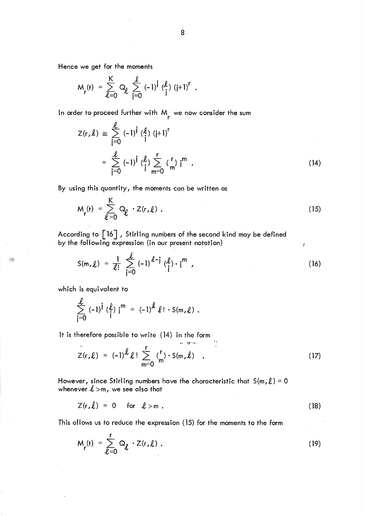Hence we get for the moments

$$
M_{r}(t) = \sum_{\ell=0}^{K} Q_{\ell} \sum_{j=0}^{\ell} (-1)^{j} (\ell_{j}^{\ell}) (j+1)^{r} .
$$

In order to proceed further with  $M_{\rm r}$  we now consider the sum

$$
Z(r,\ell) = \sum_{j=0}^{\ell} (-1)^{j} \binom{\ell}{j} (j+1)^{r}
$$
  
= 
$$
\sum_{j=0}^{\ell} (-1)^{j} \binom{\ell}{j} \sum_{m=0}^{r} \binom{r}{m} i^{m}
$$
 (14)

By using this quantity, the moments can be written as

$$
M_{r}(t) = \sum_{\ell=0}^{K} Q_{\ell} \cdot Z(r, \ell) . \qquad (15)
$$

According to  $\begin{bmatrix} 16 \end{bmatrix}$ , Stirling numbers of the second kind may be defined by the following expression (in our present notation)

$$
S(m,\ell) = \frac{1}{\ell!} \sum_{j=0}^{\ell} (-1)^{\ell-j} (\ell_j^{\ell}) \cdot j^m,
$$
 (16)

f

which is equivalent to

 $\langle \langle \rangle \rangle$ 

$$
\sum_{j=0}^{k} (-1)^{j} \binom{\ell}{j} j^{m} = (-1)^{k} \ell! \cdot S(m,\ell).
$$

It is therefore possible to write (14) in the form

$$
Z(r,\ell) = (-1)^{\ell} \ell! \sum_{m=0}^{r} {r \choose m} \cdot S(m,\ell) . \qquad (17)
$$

However, since Stirling numbers have the characteristic that  $S(m, l) = 0$ whenever  $l > m$ , we see also that

$$
Z(r,\ell) = 0 \quad \text{for} \quad \ell > m \tag{18}
$$

This allows us to reduce the expression (15) for the moments to the form

$$
M_{r}(t) = \sum_{\ell=0}^{r} Q_{\ell} \cdot Z(r, \ell) . \qquad (19)
$$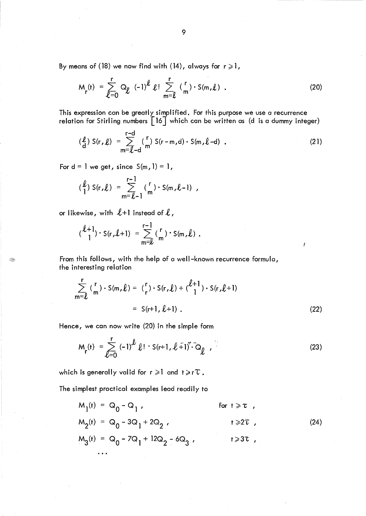By means of (18) we now find with (14), always for  $r \ge 1$ ,

$$
M_{r}(t) = \sum_{\ell=0}^{r} Q_{\ell} (-1)^{\ell} \ell! \sum_{m=\ell}^{r} {\binom{r}{m}} \cdot S(m,\ell) . \qquad (20)
$$

This expression can be greatly simplified. For this purpose we use a recurrence relation for Stirling numbers  $\left[16\right]$  which can be written as (d is a dummy integer)

$$
\begin{array}{lll} \text{(L)} & S(r, L) &= \sum_{m=L-d}^{r-d} \binom{r}{m} S(r-m, d) \cdot S(m, L-d) \quad . \end{array} \tag{21}
$$

For  $d = 1$  we get, since  $S(m, 1) = 1$ ,

$$
\left(\begin{matrix} \ell \\ 1 \end{matrix}\right) S(r, \ell) = \sum_{m=\ell-1}^{r-1} {r \choose m} S(m, \ell-1) ,
$$

or likewise, with  $\ell+1$  instead of  $\ell$ ,

Q.

$$
\begin{pmatrix} \ell+1 \\ 1 \end{pmatrix} \cdot S(r, \ell+1) = \sum_{m=\ell}^{r-1} {r \choose m} \cdot S(m, \ell) .
$$

From this follows, with the help of a well-known recurrence formula, the interesting relation

$$
\sum_{m=\ell}^{r} {r \choose m} \cdot S(m,\ell) = {r \choose r} \cdot S(r,\ell) + { \ell + 1 \choose 1} \cdot S(r,\ell+1)
$$
  
= S(r+1, \ell+1). (22)

Hence, we can now write (20) in the simple form

$$
M_{r}(t) = \sum_{\ell=0}^{r} (-1)^{\ell} \ell! \cdot S(r+1, \ell+1)^{\ell} \cdot \tilde{Q}_{\ell}, \qquad (23)
$$

which is generally valid for  $r \geq 1$  and  $t \geq r\tau$ .

The simplest practical examples lead readily to

 $M_1$ (t) = Q<sub>0</sub> - Q<sub>1</sub>, for t  $\geq \tau$ ,  $M_2(t) = Q_0 - 3Q_1 + 2Q_2$  $t \geqslant 2\overline{t}$ , (24)  $M_3$ (t) = Q<sub>0</sub> - 7Q<sub>1</sub> + 12Q<sub>2</sub> - 6Q<sub>3</sub>,  $t \geqslant 3$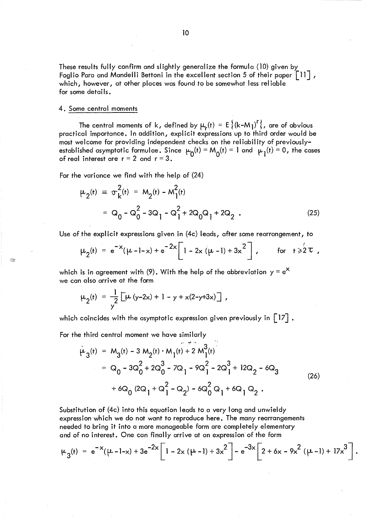These results fully confirm and slightly generalize the formula  $(10)$  given by Foglio Para and Mandelli Bettoni in the excellent section 5 of their paper  $\lceil$ 11], which, however, at other places was found to be somewhat less rei iable for some details.

#### 4. Some central moments

B

The central moments of k, defined by  $\mu_r(t) = E\{(k-M_l)^r\}$ , are of obvious practical importance. In addition, explicit expressions up to third order would be most welcome for providing independent checks on the rei iabil ity of previouslyestablished asymptotic formulae. Since  $\mu_D(t) = M_O(t) = 1$  and  $\mu_I(t) = 0$ , the cases of real interest are  $r = 2$  and  $r = 3$ .

For the variance we find with the help of (24)

$$
\mu_2(t) = \sigma_k^2(t) = M_2(t) - M_1^2(t)
$$
  
=  $Q_0 - Q_0^2 - 3Q_1 - Q_1^2 + 2Q_0Q_1 + 2Q_2$  (25)

Use of the explicit expressions given in (4c) leads, after some rearrangement, to

$$
\mu_2(t) = e^{-x}(\mu - 1 - x) + e^{-2x} \left[1 - 2x(\mu - 1) + 3x^2\right], \text{ for } t \geq 2\tau,
$$

which is in agreement with (9). With the help of the abbreviation  $y = e^X$ we can also arrive at the form

$$
\mu_2(t) = \frac{1}{y} \left[ \mu (y-2x) + 1 - y + x(2-y+3x) \right],
$$

which coincides with the asymptotic expression given previously in  $\lceil 17 \rceil$ .

For the third central moment we have similarly

$$
\mu_{3}(t) = M_{3}(t) - 3 M_{2}(t) \cdot M_{1}(t) + 2 M_{1}^{3}(t)
$$
\n
$$
= Q_{0} - 3Q_{0}^{2} + 2Q_{0}^{3} - 7Q_{1} - 9Q_{1}^{2} - 2Q_{1}^{3} + 12Q_{2} - 6Q_{3}
$$
\n
$$
+ 6Q_{0} (2Q_{1} + Q_{1}^{2} - Q_{2}) - 6Q_{0}^{2} Q_{1} + 6Q_{1} Q_{2}. \tag{26}
$$

Substitution of (4c) into this equation leads to a very long and unwieldy expression which we do not want to reproduce here. The many rearrangements needed to bring it into a more manageable form are completely elementary and of no interest. One can finally arrive at an expression of the form

$$
\mu_3(t) = e^{-x}(\mu - 1 - x) + 3e^{-2x} \left[ 1 - 2x(\mu - 1) + 3x^2 \right] - e^{-3x} \left[ 2 + 6x - 9x^2(\mu - 1) + 17x^3 \right].
$$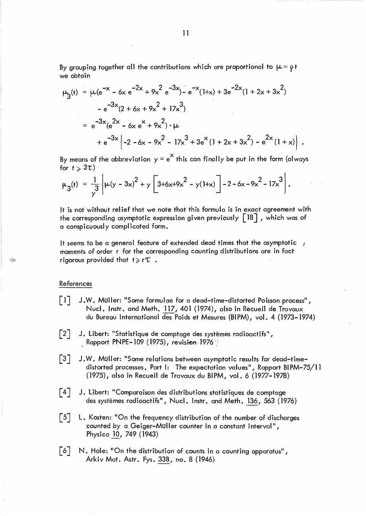By grouping together all the contributions which are proportional to  $\mu$  =  $\rho$ t we obtain

$$
\mu_{3}(t) = \mu(e^{-x} - 6x e^{-2x} + 9x^{2} e^{-3x}) - e^{-x}(1+x) + 3e^{-2x}(1 + 2x + 3x^{2})
$$
  
\n
$$
- e^{-3x}(2 + 6x + 9x^{2} + 17x^{3})
$$
  
\n
$$
= e^{-3x}(e^{2x} - 6x e^{x} + 9x^{2}) \cdot \mu
$$
  
\n
$$
+ e^{-3x}\left\{-2 - 6x - 9x^{2} - 17x^{3} + 3e^{x}(1 + 2x + 3x^{2}) - e^{2x}(1 + x)\right\}.
$$

By means of the abbreviation  $y = e^X$  this can finally be put in the form (always for  $t \geqslant 3\tau$ )

$$
\mu_3(t) = \frac{1}{y^3} \left\{ \mu(y - 3x)^2 + y \left[ 3 + 6x + 9x^2 - y(1+x) \right] - 2 - 6x - 9x^2 - 17x^3 \right\}.
$$

It is not without rei ief that we note that this formula is in exact agreement with the corresponding asymptotic expression given previously  $\lceil 18 \rceil$  , which was of a conspicuously complicated form.

It seems to be a general feature of extended dead times that the asymptotic  $\rightarrow$ moments of order r for the corresponding counting distributions are in fact rigorous provided that  $t \geq rT$ .

### References

 $<\,$ 

- $\Box$ J.W. Muller: "Some formulae for a dead-time-distorted Poisson process" , Nucl. Instr. and Meth. 117,401 (1974), also in Recueil de Travaux du Bureau International des Poids et Mesures (BI PM), vol. 4 (1973-1974)
- $\lceil 2 \rceil$ J. Libert: "Statistique de comptage des systemes radioactifs" , Rapport PNPE–109 (1975), revision 1976 .
- $\lceil 3 \rceil$ J. W. Muller: "Some relations between asymptotic results for dead-timedistorted processes. Part I: The expectation values", Rapport BI PM-75/11 (1975), also in Recueil de Travaux du BI PM, vol. 6 (1977-1978)
- $\lceil 4 \rceil$ J. Libert: "Comparaison des distributions statistiques de comptage des systemes radioactifs", NucI. Instr. and Meth. 136, 563 (1976)
- $\lceil 5 \rceil$ L. Kosten: "On the frequency distribution of the number of discharges counted by a Geiger-MUller counter in a constant interval" , Physica iQ, 749 (1943)
- $\lceil 6 \rceil$ N. Hole: "On the distribution of counts in a counting apparatus", Arkiv Mat. Astr. Fys. 33B, no. 8 (1946)